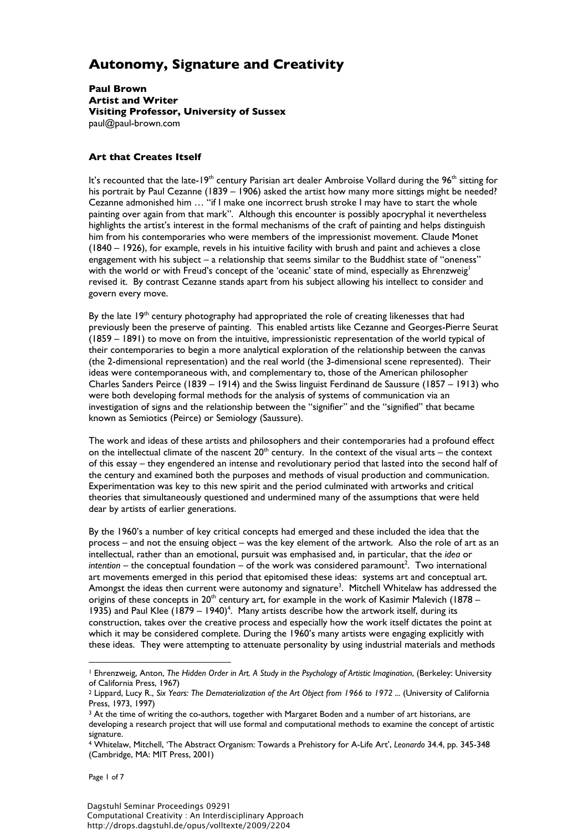# **Autonomy, Signature and Creativity**

**Paul Brown Artist and Writer Visiting Professor, University of Sussex**  paul@paul-brown.com

### **Art that Creates Itself**

It's recounted that the late-19<sup>th</sup> century Parisian art dealer Ambroise Vollard during the 96<sup>th</sup> sitting for his portrait by Paul Cezanne (1839 – 1906) asked the artist how many more sittings might be needed? Cezanne admonished him … "if I make one incorrect brush stroke I may have to start the whole painting over again from that mark". Although this encounter is possibly apocryphal it nevertheless highlights the artist's interest in the formal mechanisms of the craft of painting and helps distinguish him from his contemporaries who were members of the impressionist movement. Claude Monet (1840 – 1926), for example, revels in his intuitive facility with brush and paint and achieves a close engagement with his subject – a relationship that seems similar to the Buddhist state of "oneness" with the world or with Freud's concept of the 'oceanic' state of mind, especially as Ehrenzweig<sup>1</sup> revised it. By contrast Cezanne stands apart from his subject allowing his intellect to consider and govern every move.

By the late  $19<sup>th</sup>$  century photography had appropriated the role of creating likenesses that had previously been the preserve of painting. This enabled artists like Cezanne and Georges-Pierre Seurat (1859 – 1891) to move on from the intuitive, impressionistic representation of the world typical of their contemporaries to begin a more analytical exploration of the relationship between the canvas (the 2-dimensional representation) and the real world (the 3-dimensional scene represented). Their ideas were contemporaneous with, and complementary to, those of the American philosopher Charles Sanders Peirce (1839 – 1914) and the Swiss linguist Ferdinand de Saussure (1857 – 1913) who were both developing formal methods for the analysis of systems of communication via an investigation of signs and the relationship between the "signifier" and the "signified" that became known as Semiotics (Peirce) or Semiology (Saussure).

The work and ideas of these artists and philosophers and their contemporaries had a profound effect on the intellectual climate of the nascent  $20<sup>th</sup>$  century. In the context of the visual arts – the context of this essay – they engendered an intense and revolutionary period that lasted into the second half of the century and examined both the purposes and methods of visual production and communication. Experimentation was key to this new spirit and the period culminated with artworks and critical theories that simultaneously questioned and undermined many of the assumptions that were held dear by artists of earlier generations.

By the 1960's a number of key critical concepts had emerged and these included the idea that the process – and not the ensuing object – was the key element of the artwork. Also the role of art as an intellectual, rather than an emotional, pursuit was emphasised and, in particular, that the *idea* or  $\text{intention} - \text{the conceptual foundation} - \text{of the work was considered paramount}^2$ . Two international art movements emerged in this period that epitomised these ideas: systems art and conceptual art. Amongst the ideas then current were autonomy and signature<sup>3</sup>. Mitchell Whitelaw has addressed the origins of these concepts in  $20<sup>th</sup>$  century art, for example in the work of Kasimir Malevich (1878 – 1935) and Paul Klee  $(1879 - 1940)^4$ . Many artists describe how the artwork itself, during its construction, takes over the creative process and especially how the work itself dictates the point at which it may be considered complete. During the 1960's many artists were engaging explicitly with these ideas. They were attempting to attenuate personality by using industrial materials and methods

Page 1 of 7

<sup>1</sup> Ehrenzweig, Anton, *The Hidden Order in Art. A Study in the Psychology of Artistic Imagination*, (Berkeley: University of California Press, 1967)

<sup>2</sup> Lippard, Lucy R., *Six Years: The Dematerialization of the Art Object from 1966 to 1972 ...* (University of California Press, 1973, 1997)

<sup>&</sup>lt;sup>3</sup> At the time of writing the co-authors, together with Margaret Boden and a number of art historians, are developing a research project that will use formal and computational methods to examine the concept of artistic signature.

<sup>4</sup> Whitelaw, Mitchell, 'The Abstract Organism: Towards a Prehistory for A-Life Art', *Leonardo* 34.4, pp. 345-348 (Cambridge, MA: MIT Press, 2001)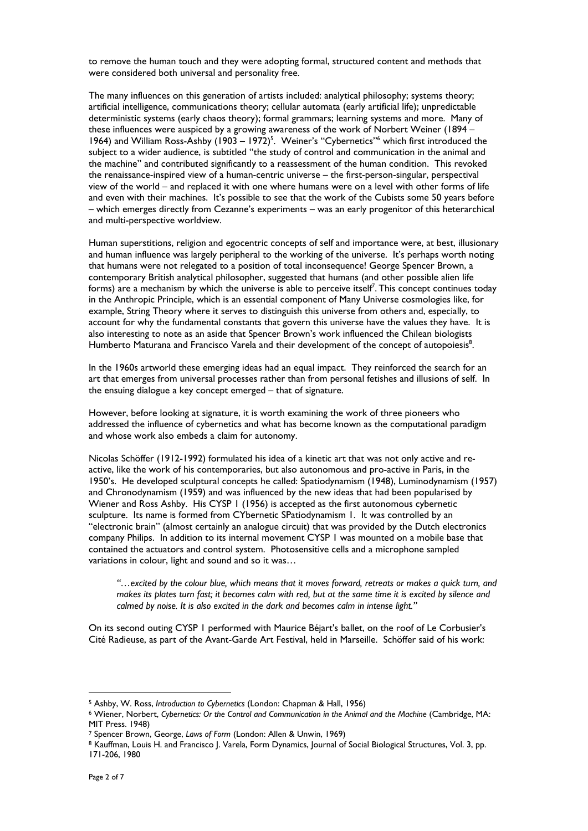to remove the human touch and they were adopting formal, structured content and methods that were considered both universal and personality free.

The many influences on this generation of artists included: analytical philosophy; systems theory; artificial intelligence, communications theory; cellular automata (early artificial life); unpredictable deterministic systems (early chaos theory); formal grammars; learning systems and more. Many of these influences were auspiced by a growing awareness of the work of Norbert Weiner (1894 – 1964) and William Ross-Ashby (1903 – 1972)<sup>5</sup>. Weiner's "Cybernetics"<sup>6</sup> which first introduced the subject to a wider audience, is subtitled "the study of control and communication in the animal and the machine" and contributed significantly to a reassessment of the human condition. This revoked the renaissance-inspired view of a human-centric universe – the first-person-singular, perspectival view of the world – and replaced it with one where humans were on a level with other forms of life and even with their machines. It's possible to see that the work of the Cubists some 50 years before – which emerges directly from Cezanne's experiments – was an early progenitor of this heterarchical and multi-perspective worldview.

Human superstitions, religion and egocentric concepts of self and importance were, at best, illusionary and human influence was largely peripheral to the working of the universe. It's perhaps worth noting that humans were not relegated to a position of total inconsequence! George Spencer Brown, a contemporary British analytical philosopher, suggested that humans (and other possible alien life forms) are a mechanism by which the universe is able to perceive itself<sup>7</sup>. This concept continues today in the Anthropic Principle, which is an essential component of Many Universe cosmologies like, for example, String Theory where it serves to distinguish this universe from others and, especially, to account for why the fundamental constants that govern this universe have the values they have. It is also interesting to note as an aside that Spencer Brown's work influenced the Chilean biologists Humberto Maturana and Francisco Varela and their development of the concept of autopoiesis<sup>8</sup>.

In the 1960s artworld these emerging ideas had an equal impact. They reinforced the search for an art that emerges from universal processes rather than from personal fetishes and illusions of self. In the ensuing dialogue a key concept emerged – that of signature.

However, before looking at signature, it is worth examining the work of three pioneers who addressed the influence of cybernetics and what has become known as the computational paradigm and whose work also embeds a claim for autonomy.

Nicolas Schöffer (1912-1992) formulated his idea of a kinetic art that was not only active and reactive, like the work of his contemporaries, but also autonomous and pro-active in Paris, in the 1950's. He developed sculptural concepts he called: Spatiodynamism (1948), Luminodynamism (1957) and Chronodynamism (1959) and was influenced by the new ideas that had been popularised by Wiener and Ross Ashby. His CYSP 1 (1956) is accepted as the first autonomous cybernetic sculpture. Its name is formed from CYbernetic SPatiodynamism 1. It was controlled by an "electronic brain" (almost certainly an analogue circuit) that was provided by the Dutch electronics company Philips. In addition to its internal movement CYSP 1 was mounted on a mobile base that contained the actuators and control system. Photosensitive cells and a microphone sampled variations in colour, light and sound and so it was…

*"…excited by the colour blue, which means that it moves forward, retreats or makes a quick turn, and makes its plates turn fast; it becomes calm with red, but at the same time it is excited by silence and calmed by noise. It is also excited in the dark and becomes calm in intense light."* 

On its second outing CYSP 1 performed with Maurice Béjart's ballet, on the roof of Le Corbusier's Cité Radieuse, as part of the Avant-Garde Art Festival, held in Marseille. Schöffer said of his work:

<sup>5</sup> Ashby, W. Ross, *Introduction to Cybernetics* (London: Chapman & Hall, 1956)<br><sup>6</sup> Wiener, Norbert, *Cybernetics: Or the Control and Communication in the Animal and the Machine (Cambridge, MA:* MIT Press. 1948)

<sup>&</sup>lt;sup>7</sup> Spencer Brown, George, *Laws of Form* (London: Allen & Unwin, 1969)<br><sup>8</sup> Kauffman, Louis H. and Francisco J. Varela, Form Dynamics, Journal of Social Biological Structures, Vol. 3, pp. 171-206, 1980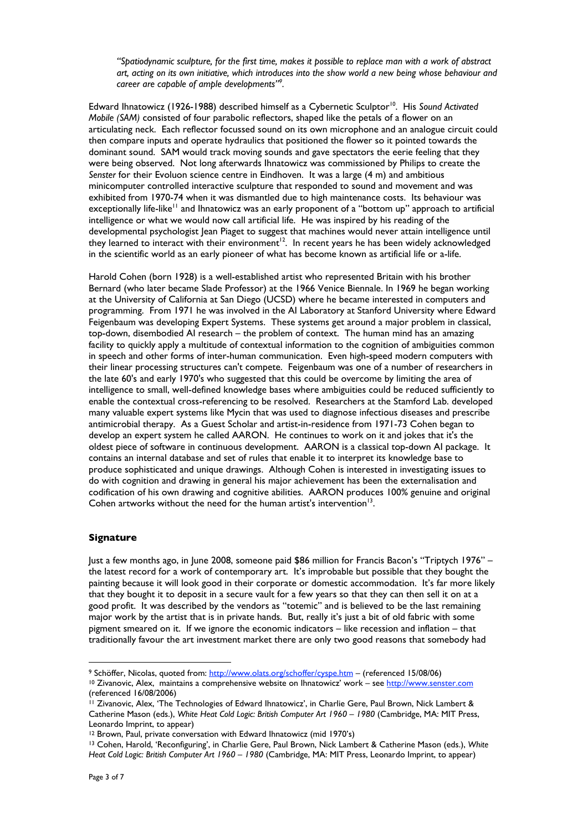*"Spatiodynamic sculpture, for the first time, makes it possible to replace man with a work of abstract art, acting on its own initiative, which introduces into the show world a new being whose behaviour and career are capable of ample developments"9 .* 

Edward Ihnatowicz (1926-1988) described himself as a Cybernetic Sculptor10. His *Sound Activated Mobile (SAM)* consisted of four parabolic reflectors, shaped like the petals of a flower on an articulating neck. Each reflector focussed sound on its own microphone and an analogue circuit could then compare inputs and operate hydraulics that positioned the flower so it pointed towards the dominant sound. SAM would track moving sounds and gave spectators the eerie feeling that they were being observed. Not long afterwards Ihnatowicz was commissioned by Philips to create the *Senster* for their Evoluon science centre in Eindhoven. It was a large (4 m) and ambitious minicomputer controlled interactive sculpture that responded to sound and movement and was exhibited from 1970-74 when it was dismantled due to high maintenance costs. Its behaviour was exceptionally life-like<sup>11</sup> and Ihnatowicz was an early proponent of a "bottom up" approach to artificial intelligence or what we would now call artificial life. He was inspired by his reading of the developmental psychologist Jean Piaget to suggest that machines would never attain intelligence until they learned to interact with their environment<sup>12</sup>. In recent years he has been widely acknowledged in the scientific world as an early pioneer of what has become known as artificial life or a-life.

Harold Cohen (born 1928) is a well-established artist who represented Britain with his brother Bernard (who later became Slade Professor) at the 1966 Venice Biennale. In 1969 he began working at the University of California at San Diego (UCSD) where he became interested in computers and programming. From 1971 he was involved in the AI Laboratory at Stanford University where Edward Feigenbaum was developing Expert Systems. These systems get around a major problem in classical, top-down, disembodied AI research – the problem of context. The human mind has an amazing facility to quickly apply a multitude of contextual information to the cognition of ambiguities common in speech and other forms of inter-human communication. Even high-speed modern computers with their linear processing structures can't compete. Feigenbaum was one of a number of researchers in the late 60's and early 1970's who suggested that this could be overcome by limiting the area of intelligence to small, well-defined knowledge bases where ambiguities could be reduced sufficiently to enable the contextual cross-referencing to be resolved. Researchers at the Stamford Lab. developed many valuable expert systems like Mycin that was used to diagnose infectious diseases and prescribe antimicrobial therapy. As a Guest Scholar and artist-in-residence from 1971-73 Cohen began to develop an expert system he called AARON. He continues to work on it and jokes that it's the oldest piece of software in continuous development. AARON is a classical top-down AI package. It contains an internal database and set of rules that enable it to interpret its knowledge base to produce sophisticated and unique drawings. Although Cohen is interested in investigating issues to do with cognition and drawing in general his major achievement has been the externalisation and codification of his own drawing and cognitive abilities. AARON produces 100% genuine and original Cohen artworks without the need for the human artist's intervention<sup>13</sup>.

### **Signature**

Just a few months ago, in June 2008, someone paid \$86 million for Francis Bacon's "Triptych 1976" – the latest record for a work of contemporary art. It's improbable but possible that they bought the painting because it will look good in their corporate or domestic accommodation. It's far more likely that they bought it to deposit in a secure vault for a few years so that they can then sell it on at a good profit. It was described by the vendors as "totemic" and is believed to be the last remaining major work by the artist that is in private hands. But, really it's just a bit of old fabric with some pigment smeared on it. If we ignore the economic indicators – like recession and inflation – that traditionally favour the art investment market there are only two good reasons that somebody had

<sup>9</sup> Schöffer, Nicolas, quoted from: <u>http://www.olats.org/schoffer/cyspe.htm</u> – (referenced 15/08/06) 10 Zivanovic, Alex, maintains a comprehensive website on Ihnatowicz' work – see http://www.senster.com

<sup>(</sup>referenced 16/08/2006)

<sup>11</sup> Zivanovic, Alex, 'The Technologies of Edward Ihnatowicz', in Charlie Gere, Paul Brown, Nick Lambert & Catherine Mason (eds.), *White Heat Cold Logic: British Computer Art 1960 – 1980* (Cambridge, MA: MIT Press, Leonardo Imprint, to appear)

<sup>12</sup> Brown, Paul, private conversation with Edward Ihnatowicz (mid 1970's)

<sup>13</sup> Cohen, Harold, 'Reconfiguring', in Charlie Gere, Paul Brown, Nick Lambert & Catherine Mason (eds.), *White Heat Cold Logic: British Computer Art 1960 – 1980* (Cambridge, MA: MIT Press, Leonardo Imprint, to appear)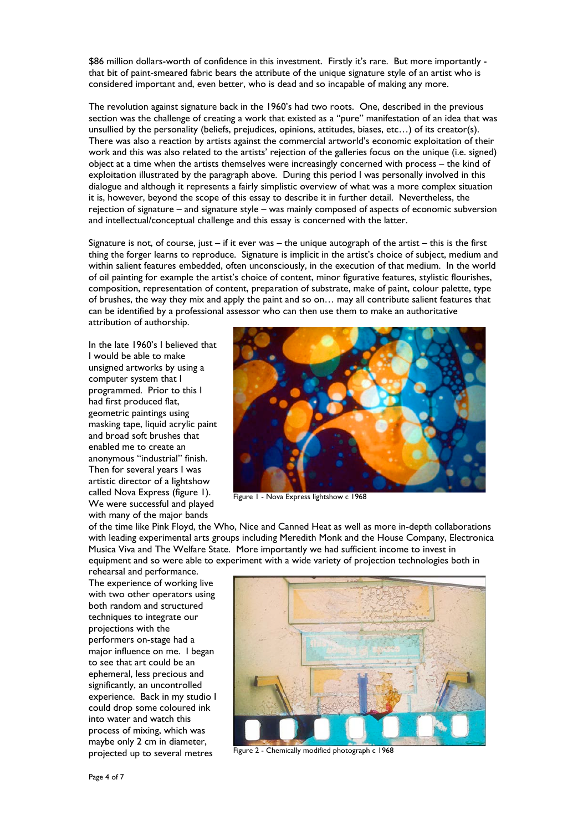\$86 million dollars-worth of confidence in this investment. Firstly it's rare. But more importantly that bit of paint-smeared fabric bears the attribute of the unique signature style of an artist who is considered important and, even better, who is dead and so incapable of making any more.

The revolution against signature back in the 1960's had two roots. One, described in the previous section was the challenge of creating a work that existed as a "pure" manifestation of an idea that was unsullied by the personality (beliefs, prejudices, opinions, attitudes, biases, etc…) of its creator(s). There was also a reaction by artists against the commercial artworld's economic exploitation of their work and this was also related to the artists' rejection of the galleries focus on the unique (i.e. signed) object at a time when the artists themselves were increasingly concerned with process – the kind of exploitation illustrated by the paragraph above. During this period I was personally involved in this dialogue and although it represents a fairly simplistic overview of what was a more complex situation it is, however, beyond the scope of this essay to describe it in further detail. Nevertheless, the rejection of signature – and signature style – was mainly composed of aspects of economic subversion and intellectual/conceptual challenge and this essay is concerned with the latter.

Signature is not, of course, just – if it ever was – the unique autograph of the artist – this is the first thing the forger learns to reproduce. Signature is implicit in the artist's choice of subject, medium and within salient features embedded, often unconsciously, in the execution of that medium. In the world of oil painting for example the artist's choice of content, minor figurative features, stylistic flourishes, composition, representation of content, preparation of substrate, make of paint, colour palette, type of brushes, the way they mix and apply the paint and so on… may all contribute salient features that can be identified by a professional assessor who can then use them to make an authoritative attribution of authorship.

In the late 1960's I believed that I would be able to make unsigned artworks by using a computer system that I programmed. Prior to this I had first produced flat, geometric paintings using masking tape, liquid acrylic paint and broad soft brushes that enabled me to create an anonymous "industrial" finish. Then for several years I was artistic director of a lightshow called Nova Express (figure 1). We were successful and played with many of the major bands



Figure 1 - Nova Express lightshow c 1968

of the time like Pink Floyd, the Who, Nice and Canned Heat as well as more in-depth collaborations with leading experimental arts groups including Meredith Monk and the House Company, Electronica Musica Viva and The Welfare State. More importantly we had sufficient income to invest in equipment and so were able to experiment with a wide variety of projection technologies both in

rehearsal and performance. The experience of working live with two other operators using both random and structured techniques to integrate our projections with the performers on-stage had a major influence on me. I began to see that art could be an ephemeral, less precious and significantly, an uncontrolled experience. Back in my studio I could drop some coloured ink into water and watch this process of mixing, which was maybe only 2 cm in diameter, projected up to several metres



Figure 2 - Chemically modified photograph c 1968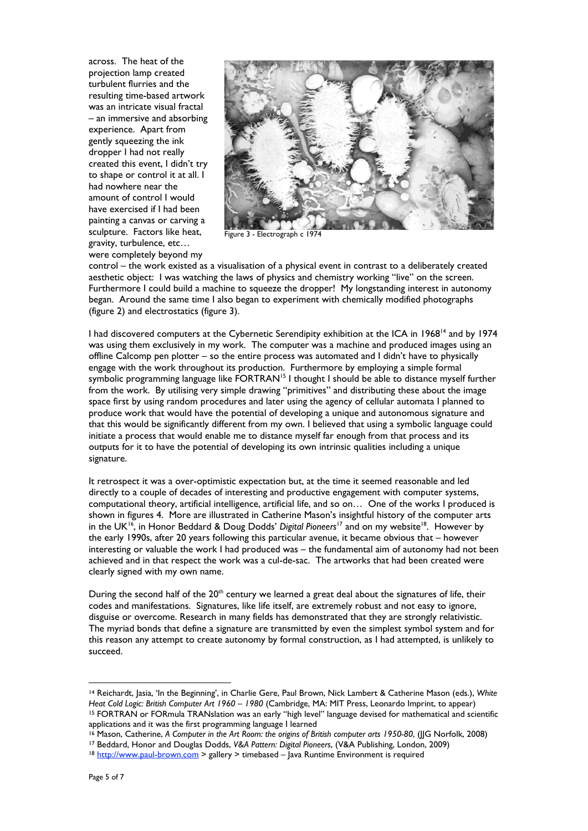across. The heat of the projection lamp created turbulent flurries and the resulting time-based artwork was an intricate visual fractal – an immersive and absorbing experience. Apart from gently squeezing the ink dropper I had not really created this event, I didn't try to shape or control it at all. I had nowhere near the amount of control I would have exercised if I had been painting a canvas or carving a sculpture. Factors like heat, gravity, turbulence, etc… were completely beyond my



Figure 3 - Electrograph c 1974

control – the work existed as a visualisation of a physical event in contrast to a deliberately created aesthetic object: I was watching the laws of physics and chemistry working "live" on the screen. Furthermore I could build a machine to squeeze the dropper! My longstanding interest in autonomy began. Around the same time I also began to experiment with chemically modified photographs (figure 2) and electrostatics (figure 3).

I had discovered computers at the Cybernetic Serendipity exhibition at the ICA in 1968<sup>14</sup> and by 1974 was using them exclusively in my work. The computer was a machine and produced images using an offline Calcomp pen plotter – so the entire process was automated and I didn't have to physically engage with the work throughout its production. Furthermore by employing a simple formal symbolic programming language like FORTRAN<sup>15</sup> I thought I should be able to distance myself further from the work. By utilising very simple drawing "primitives" and distributing these about the image space first by using random procedures and later using the agency of cellular automata I planned to produce work that would have the potential of developing a unique and autonomous signature and that this would be significantly different from my own. I believed that using a symbolic language could initiate a process that would enable me to distance myself far enough from that process and its outputs for it to have the potential of developing its own intrinsic qualities including a unique signature.

It retrospect it was a over-optimistic expectation but, at the time it seemed reasonable and led directly to a couple of decades of interesting and productive engagement with computer systems, computational theory, artificial intelligence, artificial life, and so on… One of the works I produced is shown in figures 4. More are illustrated in Catherine Mason's insightful history of the computer arts in the UK<sup>16</sup>, in Honor Beddard & Doug Dodds' Digital Pioneers<sup>17</sup> and on my website<sup>18</sup>. However by the early 1990s, after 20 years following this particular avenue, it became obvious that – however interesting or valuable the work I had produced was – the fundamental aim of autonomy had not been achieved and in that respect the work was a cul-de-sac. The artworks that had been created were clearly signed with my own name.

During the second half of the 20<sup>th</sup> century we learned a great deal about the signatures of life, their codes and manifestations. Signatures, like life itself, are extremely robust and not easy to ignore, disguise or overcome. Research in many fields has demonstrated that they are strongly relativistic. The myriad bonds that define a signature are transmitted by even the simplest symbol system and for this reason any attempt to create autonomy by formal construction, as I had attempted, is unlikely to succeed.

<sup>14</sup> Reichardt, Jasia, 'In the Beginning', in Charlie Gere, Paul Brown, Nick Lambert & Catherine Mason (eds.), *White Heat Cold Logic: British Computer Art 1960 – 1980* (Cambridge, MA: MIT Press, Leonardo Imprint, to appear) 15 FORTRAN or FORmula TRANslation was an early "high level" language devised for mathematical and scientific applications and it was the first programming language I learned

<sup>&</sup>lt;sup>16</sup> Mason, Catherine, A Computer in the Art Room: the origins of British computer arts 1950-80, (JJG Norfolk, 2008)<br><sup>17</sup> Beddard, Honor and Douglas Dodds, V&A Pattern: Digital Pioneers, (V&A Publishing, London, 2009)<br><sup>18</sup>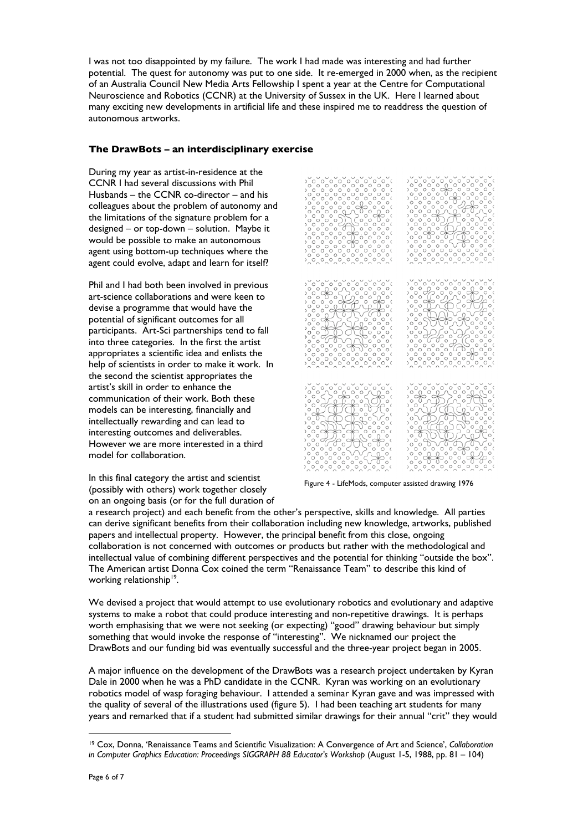I was not too disappointed by my failure. The work I had made was interesting and had further potential. The quest for autonomy was put to one side. It re-emerged in 2000 when, as the recipient of an Australia Council New Media Arts Fellowship I spent a year at the Centre for Computational Neuroscience and Robotics (CCNR) at the University of Sussex in the UK. Here I learned about many exciting new developments in artificial life and these inspired me to readdress the question of autonomous artworks.

#### **The DrawBots – an interdisciplinary exercise**

During my year as artist-in-residence at the CCNR I had several discussions with Phil Husbands – the CCNR co-director – and his colleagues about the problem of autonomy and the limitations of the signature problem for a designed – or top-down – solution. Maybe it would be possible to make an autonomous agent using bottom-up techniques where the agent could evolve, adapt and learn for itself?

Phil and I had both been involved in previous art-science collaborations and were keen to devise a programme that would have the potential of significant outcomes for all participants. Art-Sci partnerships tend to fall into three categories. In the first the artist appropriates a scientific idea and enlists the help of scientists in order to make it work. In the second the scientist appropriates the artist's skill in order to enhance the communication of their work. Both these models can be interesting, financially and intellectually rewarding and can lead to interesting outcomes and deliverables. However we are more interested in a third model for collaboration.

In this final category the artist and scientist (possibly with others) work together closely on an ongoing basis (or for the full duration of



Figure 4 - LifeMods, computer assisted drawing 1976

a research project) and each benefit from the other's perspective, skills and knowledge. All parties can derive significant benefits from their collaboration including new knowledge, artworks, published papers and intellectual property. However, the principal benefit from this close, ongoing collaboration is not concerned with outcomes or products but rather with the methodological and intellectual value of combining different perspectives and the potential for thinking "outside the box". The American artist Donna Cox coined the term "Renaissance Team" to describe this kind of working relationship<sup>19</sup>.

We devised a project that would attempt to use evolutionary robotics and evolutionary and adaptive systems to make a robot that could produce interesting and non-repetitive drawings. It is perhaps worth emphasising that we were not seeking (or expecting) "good" drawing behaviour but simply something that would invoke the response of "interesting". We nicknamed our project the DrawBots and our funding bid was eventually successful and the three-year project began in 2005.

A major influence on the development of the DrawBots was a research project undertaken by Kyran Dale in 2000 when he was a PhD candidate in the CCNR. Kyran was working on an evolutionary robotics model of wasp foraging behaviour. I attended a seminar Kyran gave and was impressed with the quality of several of the illustrations used (figure 5). I had been teaching art students for many years and remarked that if a student had submitted similar drawings for their annual "crit" they would

 $\overline{a}$ 19 Cox, Donna, 'Renaissance Teams and Scientific Visualization: A Convergence of Art and Science', *Collaboration in Computer Graphics Education: Proceedings SIGGRAPH 88 Educator's Workshop (August 1-5, 1988, pp. 81 – 104)*